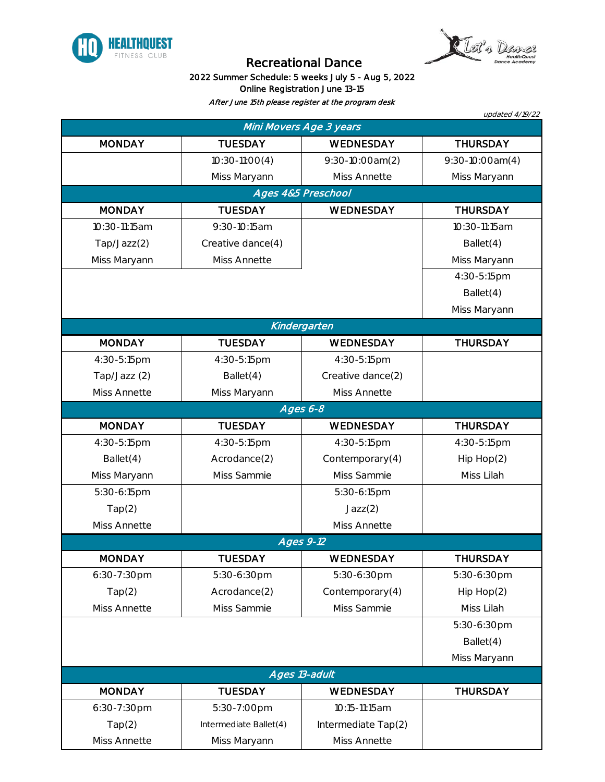



## Recreational Dance

## 2022 Summer Schedule: 5 weeks July 5 - Aug 5, 2022 Online Registration June 13-15

After June 15th please register at the program desk

| updated 4/19/22<br>Mini Movers Age 3 years |                        |                     |                   |  |  |  |
|--------------------------------------------|------------------------|---------------------|-------------------|--|--|--|
| <b>MONDAY</b>                              | <b>TUESDAY</b>         | WEDNESDAY           | <b>THURSDAY</b>   |  |  |  |
|                                            | $10:30-11:00(4)$       | 9:30-10:00am(2)     | $9:30-10:00am(4)$ |  |  |  |
|                                            | Miss Maryann           | Miss Annette        | Miss Maryann      |  |  |  |
| Ages 4&5 Preschool                         |                        |                     |                   |  |  |  |
| <b>MONDAY</b>                              | <b>TUESDAY</b>         | WEDNESDAY           | <b>THURSDAY</b>   |  |  |  |
| 10:30-11:15am                              | 9:30-10:15am           |                     | 10:30-11:15am     |  |  |  |
| Tap/Jazz(2)                                | Creative dance(4)      |                     | Ballet(4)         |  |  |  |
| Miss Maryann                               | Miss Annette           |                     | Miss Maryann      |  |  |  |
|                                            |                        |                     | 4:30-5:15pm       |  |  |  |
|                                            |                        |                     | Ballet(4)         |  |  |  |
|                                            |                        |                     | Miss Maryann      |  |  |  |
| Kindergarten                               |                        |                     |                   |  |  |  |
| <b>MONDAY</b>                              | <b>TUESDAY</b>         | WEDNESDAY           | <b>THURSDAY</b>   |  |  |  |
| 4:30-5:15pm                                | 4:30-5:15pm            | 4:30-5:15pm         |                   |  |  |  |
| Tap/Jazz (2)                               | Ballet(4)              | Creative dance(2)   |                   |  |  |  |
| Miss Annette                               | Miss Maryann           | Miss Annette        |                   |  |  |  |
| Ages 6-8                                   |                        |                     |                   |  |  |  |
| <b>MONDAY</b>                              | <b>TUESDAY</b>         | WEDNESDAY           | <b>THURSDAY</b>   |  |  |  |
| 4:30-5:15pm                                | 4:30-5:15pm            | 4:30-5:15pm         | 4:30-5:15pm       |  |  |  |
| Ballet(4)                                  | Acrodance(2)           | Contemporary(4)     | Hip Hop(2)        |  |  |  |
| Miss Maryann                               | Miss Sammie            | Miss Sammie         | Miss Lilah        |  |  |  |
| 5:30-6:15pm                                |                        | 5:30-6:15pm         |                   |  |  |  |
| Tap(2)                                     |                        | Jazz(2)             |                   |  |  |  |
| Miss Annette                               |                        | Miss Annette        |                   |  |  |  |
|                                            | $\overline{Ages 9-12}$ |                     |                   |  |  |  |
| <b>MONDAY</b>                              | <b>TUESDAY</b>         | WEDNESDAY           | <b>THURSDAY</b>   |  |  |  |
| 6:30-7:30pm                                | 5:30-6:30pm            | 5:30-6:30pm         | 5:30-6:30pm       |  |  |  |
| Tap(2)                                     | Acrodance(2)           | Contemporary(4)     | Hip Hop(2)        |  |  |  |
| Miss Annette                               | Miss Sammie            | Miss Sammie         | Miss Lilah        |  |  |  |
|                                            |                        |                     | 5:30-6:30pm       |  |  |  |
|                                            |                        |                     | Ballet(4)         |  |  |  |
|                                            |                        |                     | Miss Maryann      |  |  |  |
|                                            | Ages 13-adult          |                     |                   |  |  |  |
| <b>MONDAY</b>                              | <b>TUESDAY</b>         | WEDNESDAY           | <b>THURSDAY</b>   |  |  |  |
| 6:30-7:30pm                                | 5:30-7:00pm            | 10:15-11:15am       |                   |  |  |  |
| Tap(2)                                     | Intermediate Ballet(4) | Intermediate Tap(2) |                   |  |  |  |
| Miss Annette                               | Miss Maryann           | Miss Annette        |                   |  |  |  |